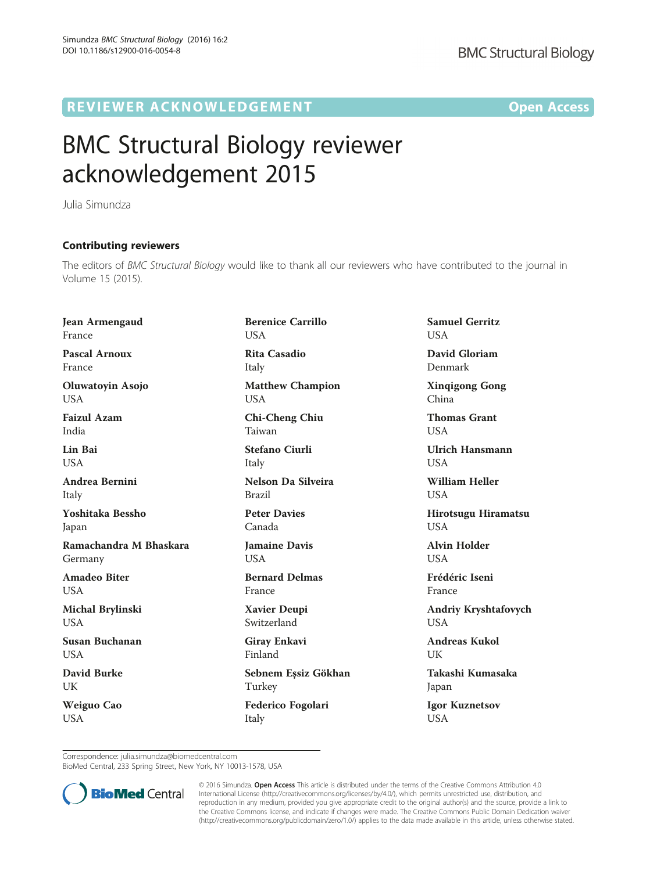## R EVI EW E R ACKNOW L EDG EM EN T Open Access

## BMC Structural Biology reviewer acknowledgement 2015

Julia Simundza

## Contributing reviewers

The editors of *BMC Structural Biology* would like to thank all our reviewers who have contributed to the journal in<br>Volume 15 (2015) Volume 15 (2015).

Berenice Carrillo

Jean Armengaud France

Pascal Arnoux France

Oluwatoyin Asojo **USA** 

Faizul Azam India

Lin Bai **USA** 

Andrea Bernini Italy

Yoshitaka Bessho Japan

Ramachandra M Bhaskara Germany

Amadeo Biter **USA** 

Michal Brylinski **USA** 

Susan Buchanan **USA** 

David Burke UK

Weiguo Cao **USA** 

**USA** Rita Casadio Italy Matthew Champion USA Chi-Cheng Chiu Taiwan Stefano Ciurli Italy Nelson Da Silveira Brazil Peter Davies Canada Jamaine Davis USA Bernard Delmas France Xavier Deupi Switzerland Giray Enkavi Finland Sebnem Eşsiz Gökhan Turkey Federico Fogolari

Italy

Samuel Gerritz **USA** 

David Gloriam Denmark

Xinqigong Gong China

Thomas Grant **USA** 

Ulrich Hansmann **USA** 

William Heller **USA** 

Hirotsugu Hiramatsu **USA** 

Alvin Holder **USA** 

Frédéric Iseni France

Andriy Kryshtafovych **USA** 

Andreas Kukol UK

Takashi Kumasaka Japan

Igor Kuznetsov **USA** 

Correspondence: [julia.simundza@biomedcentral.com](mailto:julia.simundza@biomedcentral.com)

BioMed Central, 233 Spring Street, New York, NY 10013-1578, USA



© 2016 Simundza. Open Access This article is distributed under the terms of the Creative Commons Attribution 4.0 International License [\(http://creativecommons.org/licenses/by/4.0/](http://creativecommons.org/licenses/by/4.0/)), which permits unrestricted use, distribution, and reproduction in any medium, provided you give appropriate credit to the original author(s) and the source, provide a link to the Creative Commons license, and indicate if changes were made. The Creative Commons Public Domain Dedication waiver [\(http://creativecommons.org/publicdomain/zero/1.0/](http://creativecommons.org/publicdomain/zero/1.0/)) applies to the data made available in this article, unless otherwise stated.